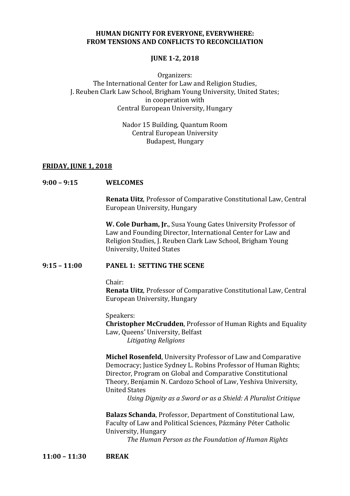### **HUMAN DIGNITY FOR EVERYONE, EVERYWHERE: FROM TENSIONS AND CONFLICTS TO RECONCILIATION**

## **JUNE 1-2, 2018**

Organizers: The International Center for Law and Religion Studies, J. Reuben Clark Law School, Brigham Young University, United States; in cooperation with Central European University, Hungary

## Nador 15 Building, Quantum Room Central European University Budapest, Hungary

### **FRIDAY, JUNE 1, 2018**

### **9:00 – 9:15 WELCOMES**

**Renata Uitz**, Professor of Comparative Constitutional Law, Central European University, Hungary

**W. Cole Durham, Jr.**, Susa Young Gates University Professor of Law and Founding Director, International Center for Law and Religion Studies, J. Reuben Clark Law School, Brigham Young University, United States

#### **9:15 – 11:00 PANEL 1: SETTING THE SCENE**

Chair:

**Renata Uitz**, Professor of Comparative Constitutional Law, Central European University, Hungary

Speakers: **Christopher McCrudden**, Professor of Human Rights and Equality Law, Queens' University, Belfast

*Litigating Religions*

**Michel Rosenfeld**, University Professor of Law and Comparative Democracy; Justice Sydney L. Robins Professor of Human Rights; Director, Program on Global and Comparative Constitutional Theory, Benjamin N. Cardozo School of Law, Yeshiva University, United States

*Using Dignity as a Sword or as a Shield: A Pluralist Critique*

**Balazs Schanda**, Professor, Department of Constitutional Law, Faculty of Law and Political Sciences, Pázmány Péter Catholic University, Hungary

*The Human Person as the Foundation of Human Rights*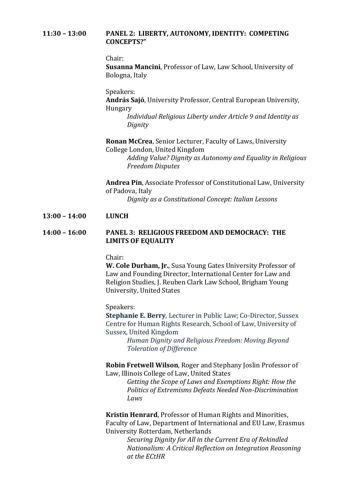### **11:30 – 13:00 PANEL 2: LIBERTY, AUTONOMY, IDENTITY: COMPETING CONCEPTS?"**

Chair:

**Susanna Mancini**, Professor of Law, Law School, University of Bologna, Italy

Speakers: **András Sajó**, University Professor, Central European University, Hungary

*Individual Religious Liberty under Article 9 and Identity as Dignity*

**Ronan McCrea**, Senior Lecturer, Faculty of Laws, University College London, United Kingdom

*Adding Value? Dignity as Autonomy and Equality in Religious Freedom Disputes*

**Andrea Pin**, Associate Professor of Constitutional Law, University of Padova, Italy

*Dignity as a Constitutional Concept: Italian Lessons*

# **13:00 – 14:00 LUNCH**

## **14:00 – 16:00 PANEL 3: RELIGIOUS FREEDOM AND DEMOCRACY: THE LIMITS OF EQUALITY**

### Chair:

**W. Cole Durham, Jr.**, Susa Young Gates University Professor of Law and Founding Director, International Center for Law and Religion Studies, J. Reuben Clark Law School, Brigham Young University, United States

### Speakers:

**Stephanie E. Berry**, Lecturer in Public Law; Co-Director, Sussex Centre for Human Rights Research, School of Law, University of Sussex, United Kingdom

> *Human Dignity and Religious Freedom: Moving Beyond Toleration of Difference*

**Robin Fretwell Wilson**, Roger and Stephany Joslin Professor of Law, Illinois College of Law, United States

*Getting the Scope of Laws and Exemptions Right: How the Politics of Extremisms Defeats Needed Non-Discrimination Laws*

**Kristin Henrard**, Professor of Human Rights and Minorities, Faculty of Law, Department of International and EU Law, Erasmus University Rotterdam, Netherlands

> *Securing Dignity for All in the Current Era of Rekindled Nationalism: A Critical Reflection on Integration Reasoning at the ECtHR*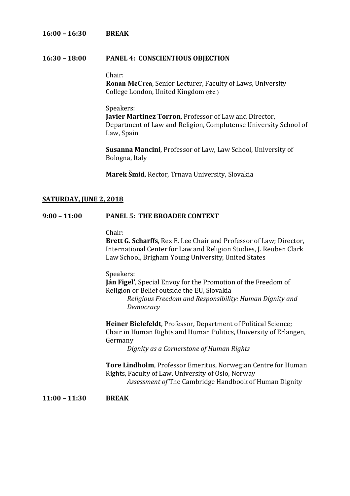#### **16:00 – 16:30 BREAK**

#### **16:30 – 18:00 PANEL 4: CONSCIENTIOUS OBJECTION**

Chair:

**Ronan McCrea**, Senior Lecturer, Faculty of Laws, University College London, United Kingdom (tbc.)

Speakers: **Javier Martinez Torron**, Professor of Law and Director, Department of Law and Religion, Complutense University School of Law, Spain

**Susanna Mancini**, Professor of Law, Law School, University of Bologna, Italy

**Marek Šmid**, Rector, Trnava University, Slovakia

#### **SATURDAY, JUNE 2, 2018**

### **9:00 – 11:00 PANEL 5: THE BROADER CONTEXT**

Chair:

**Brett G. Scharffs**, Rex E. Lee Chair and Professor of Law; Director, International Center for Law and Religion Studies, J. Reuben Clark Law School, Brigham Young University, United States

Speakers:

**Ján Figel'**, Special Envoy for the Promotion of the Freedom of Religion or Belief outside the EU, Slovakia

> *Religious Freedom and Responsibility: Human Dignity and Democracy*

**Heiner Bielefeldt**, Professor, Department of Political Science; Chair in Human Rights and Human Politics, University of Erlangen, Germany

*Dignity as a Cornerstone of Human Rights*

**Tore Lindholm**, Professor Emeritus, Norwegian Centre for Human Rights, Faculty of Law, University of Oslo, Norway *Assessment of* The Cambridge Handbook of Human Dignity

**11:00 – 11:30 BREAK**